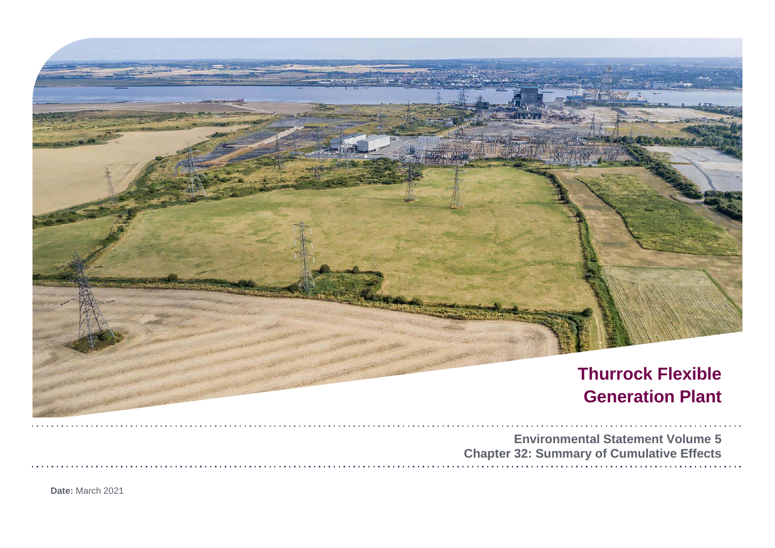

**Date:** March 2021

| tal Statement Volume 5  |  |  |  |  |  |  |  |  |  |  |  |  |  |  |  |  |
|-------------------------|--|--|--|--|--|--|--|--|--|--|--|--|--|--|--|--|
| y of Cumulative Effects |  |  |  |  |  |  |  |  |  |  |  |  |  |  |  |  |
|                         |  |  |  |  |  |  |  |  |  |  |  |  |  |  |  |  |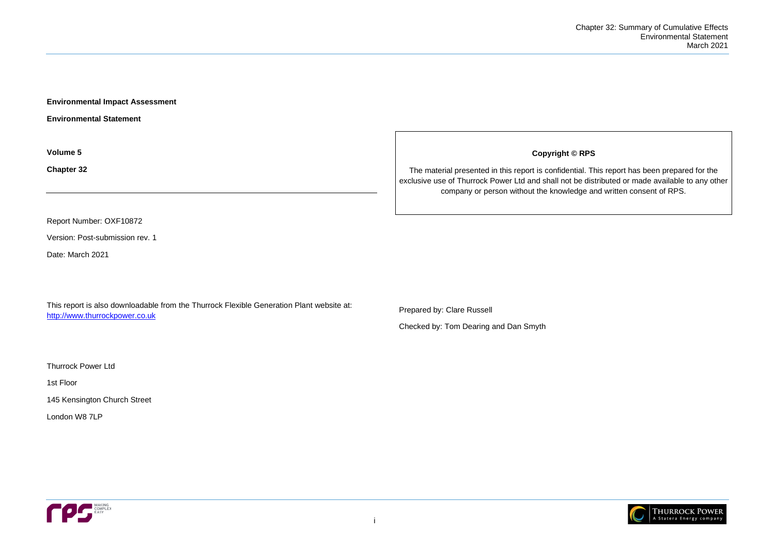

**Environmental Impact Assessment** 

**Environmental Statement**

**Volume 5**

**Chapter 32**

Report Number: OXF10872

Version: Post-submission rev. 1

Date: March 2021

This report is also downloadable from the Thurrock Flexible Generation Plant website at: [http://www.thurrockpower.co.uk](http://www.thurrockpower.co.uk/)

Thurrock Power Ltd

1st Floor

145 Kensington Church Street

London W8 7LP



**Copyright © RPS**

The material presented in this report is confidential. This report has been prepared for the exclusive use of Thurrock Power Ltd and shall not be distributed or made available to any other company or person without the knowledge and written consent of RPS.

Prepared by: Clare Russell

Checked by: Tom Dearing and Dan Smyth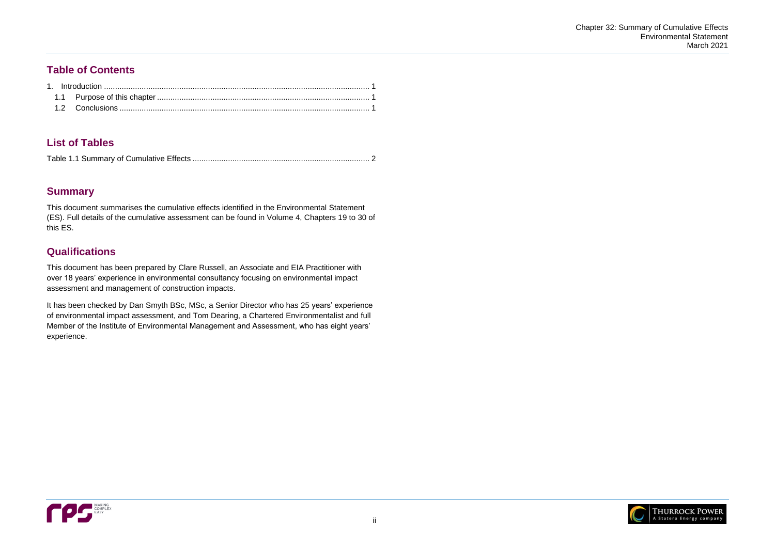

## **Table of Contents**

# **List of Tables**

|--|--|

# **Summary**

This document summarises the cumulative effects identified in the Environmental Statement (ES). Full details of the cumulative assessment can be found in Volume 4, Chapters 19 to 30 of this ES.

# **Qualifications**

This document has been prepared by Clare Russell, an Associate and EIA Practitioner with over 18 years' experience in environmental consultancy focusing on environmental impact assessment and management of construction impacts.

It has been checked by Dan Smyth BSc, MSc, a Senior Director who has 25 years' experience of environmental impact assessment, and Tom Dearing, a Chartered Environmentalist and full Member of the Institute of Environmental Management and Assessment, who has eight years' experience.

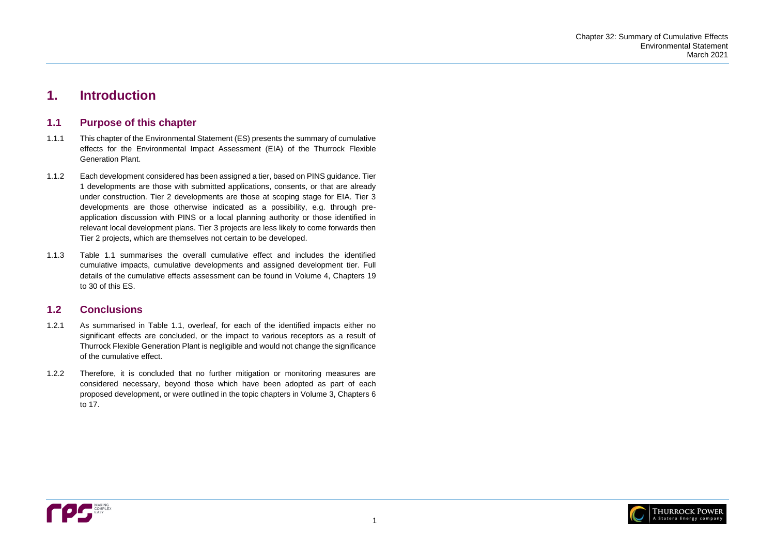

# <span id="page-3-0"></span>**1. Introduction**

## <span id="page-3-1"></span>**1.1 Purpose of this chapter**

- 1.1.1 This chapter of the Environmental Statement (ES) presents the summary of cumulative effects for the Environmental Impact Assessment (EIA) of the Thurrock Flexible Generation Plant.
- 1.1.2 Each development considered has been assigned a tier, based on PINS guidance. Tier 1 developments are those with submitted applications, consents, or that are already under construction. Tier 2 developments are those at scoping stage for EIA. Tier 3 developments are those otherwise indicated as a possibility, e.g. through preapplication discussion with PINS or a local planning authority or those identified in relevant local development plans. Tier 3 projects are less likely to come forwards then Tier 2 projects, which are themselves not certain to be developed.
- 1.1.3 [Table 1.1](#page-4-0) summarises the overall cumulative effect and includes the identified cumulative impacts, cumulative developments and assigned development tier. Full details of the cumulative effects assessment can be found in Volume 4, Chapters 19 to 30 of this ES.

## <span id="page-3-2"></span>**1.2 Conclusions**

- 1.2.1 As summarised in [Table 1.1,](#page-4-0) overleaf, for each of the identified impacts either no significant effects are concluded, or the impact to various receptors as a result of Thurrock Flexible Generation Plant is negligible and would not change the significance of the cumulative effect.
- 1.2.2 Therefore, it is concluded that no further mitigation or monitoring measures are considered necessary, beyond those which have been adopted as part of each proposed development, or were outlined in the topic chapters in Volume 3, Chapters 6 to 17.

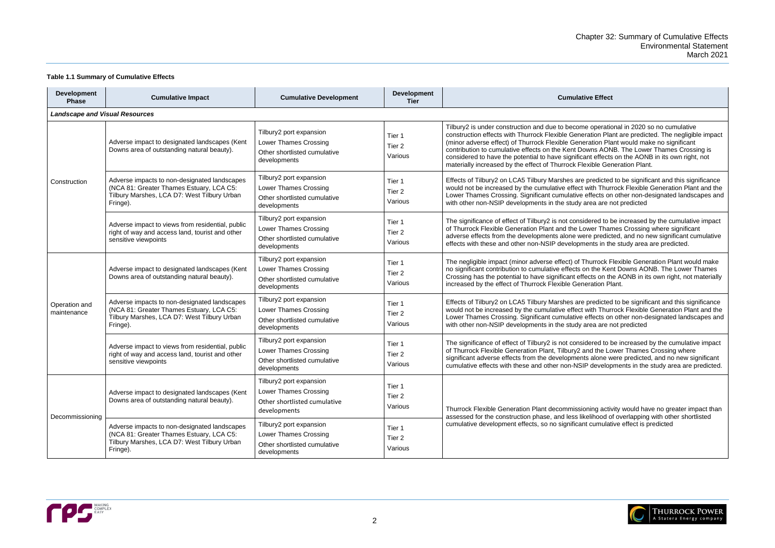operational in 2020 so no cumulative ration Plant are predicted. The negligible impact ration Plant would make no significant wns AONB. The Lower Thames Crossing is int effects on the AONB in its own right, not wible Generation Plant.

predicted to be significant and this significance with Thurrock Flexible Generation Plant and the effects on other non-designated landscapes and are are not predicted

dered to be increased by the cumulative impact wer Thames Crossing where significant re predicted, and no new significant cumulative ents in the study area are predicted.

hurrock Flexible Generation Plant would make n the Kent Downs AONB. The Lower Thames ects on the AONB in its own right, not materially eration Plant.

predicted to be significant and this significance with Thurrock Flexible Generation Plant and the effects on other non-designated landscapes and are are not predicted

dered to be increased by the cumulative impact nd the Lower Thames Crossing where s alone were predicted, and no new significant developments in the study area are predicted.

ning activity would have no greater impact than elihood of overlapping with other shortlisted cumulative effect is predicted



### <span id="page-4-0"></span>**Table 1.1 Summary of Cumulative Effects**

| <b>Development</b><br><b>Phase</b>    | <b>Cumulative Impact</b>                                                                                                                            | <b>Cumulative Development</b>                                                                           | <b>Development</b><br><b>Tier</b>      | <b>Cumulative Effect</b>                                                                                                                                                                                                                                                                                                                                                          |  |
|---------------------------------------|-----------------------------------------------------------------------------------------------------------------------------------------------------|---------------------------------------------------------------------------------------------------------|----------------------------------------|-----------------------------------------------------------------------------------------------------------------------------------------------------------------------------------------------------------------------------------------------------------------------------------------------------------------------------------------------------------------------------------|--|
| <b>Landscape and Visual Resources</b> |                                                                                                                                                     |                                                                                                         |                                        |                                                                                                                                                                                                                                                                                                                                                                                   |  |
|                                       | Adverse impact to designated landscapes (Kent<br>Downs area of outstanding natural beauty).                                                         | Tilbury2 port expansion<br><b>Lower Thames Crossing</b><br>Other shortlisted cumulative<br>developments | Tier 1<br>Tier <sub>2</sub><br>Various | Tilbury2 is under construction and due to become operation<br>construction effects with Thurrock Flexible Generation Pla<br>(minor adverse effect) of Thurrock Flexible Generation Pla<br>contribution to cumulative effects on the Kent Downs AON<br>considered to have the potential to have significant effects<br>materially increased by the effect of Thurrock Flexible Ger |  |
| Construction                          | Adverse impacts to non-designated landscapes<br>(NCA 81: Greater Thames Estuary, LCA C5:<br>Tilbury Marshes, LCA D7: West Tilbury Urban<br>Fringe). | Tilbury2 port expansion<br>Lower Thames Crossing<br>Other shortlisted cumulative<br>developments        | Tier 1<br>Tier <sub>2</sub><br>Various | Effects of Tilbury2 on LCA5 Tilbury Marshes are predicted<br>would not be increased by the cumulative effect with Thur<br>Lower Thames Crossing. Significant cumulative effects on<br>with other non-NSIP developments in the study area are n                                                                                                                                    |  |
|                                       | Adverse impact to views from residential, public<br>right of way and access land, tourist and other<br>sensitive viewpoints                         | Tilbury2 port expansion<br>Lower Thames Crossing<br>Other shortlisted cumulative<br>developments        | Tier 1<br>Tier 2<br>Various            | The significance of effect of Tilbury2 is not considered to b<br>of Thurrock Flexible Generation Plant and the Lower Thar<br>adverse effects from the developments alone were predict<br>effects with these and other non-NSIP developments in th                                                                                                                                 |  |
|                                       | Adverse impact to designated landscapes (Kent<br>Downs area of outstanding natural beauty).                                                         | Tilbury2 port expansion<br><b>Lower Thames Crossing</b><br>Other shortlisted cumulative<br>developments | Tier 1<br>Tier 2<br>Various            | The negligible impact (minor adverse effect) of Thurrock F<br>no significant contribution to cumulative effects on the Ker<br>Crossing has the potential to have significant effects on th<br>increased by the effect of Thurrock Flexible Generation Pl                                                                                                                          |  |
| Operation and<br>maintenance          | Adverse impacts to non-designated landscapes<br>(NCA 81: Greater Thames Estuary, LCA C5:<br>Tilbury Marshes, LCA D7: West Tilbury Urban<br>Fringe). | Tilbury2 port expansion<br>Lower Thames Crossing<br>Other shortlisted cumulative<br>developments        | Tier 1<br>Tier <sub>2</sub><br>Various | Effects of Tilbury2 on LCA5 Tilbury Marshes are predicted<br>would not be increased by the cumulative effect with Thur<br>Lower Thames Crossing. Significant cumulative effects on<br>with other non-NSIP developments in the study area are n                                                                                                                                    |  |
|                                       | Adverse impact to views from residential, public<br>right of way and access land, tourist and other<br>sensitive viewpoints                         | Tilbury2 port expansion<br><b>Lower Thames Crossing</b><br>Other shortlisted cumulative<br>developments | Tier 1<br>Tier <sub>2</sub><br>Various | The significance of effect of Tilbury2 is not considered to b<br>of Thurrock Flexible Generation Plant, Tilbury2 and the Lo<br>significant adverse effects from the developments alone w<br>cumulative effects with these and other non-NSIP develop                                                                                                                              |  |
| Decommissioning                       | Adverse impact to designated landscapes (Kent<br>Downs area of outstanding natural beauty).                                                         | Tilbury2 port expansion<br><b>Lower Thames Crossing</b><br>Other shortlisted cumulative<br>developments | Tier 1<br>Tier 2<br>Various            | Thurrock Flexible Generation Plant decommissioning activ                                                                                                                                                                                                                                                                                                                          |  |
|                                       | Adverse impacts to non-designated landscapes<br>(NCA 81: Greater Thames Estuary, LCA C5:<br>Tilbury Marshes, LCA D7: West Tilbury Urban<br>Fringe). | Tilbury2 port expansion<br>Lower Thames Crossing<br>Other shortlisted cumulative<br>developments        | Tier 1<br>Tier <sub>2</sub><br>Various | assessed for the construction phase, and less likelihood o<br>cumulative development effects, so no significant cumulat                                                                                                                                                                                                                                                           |  |

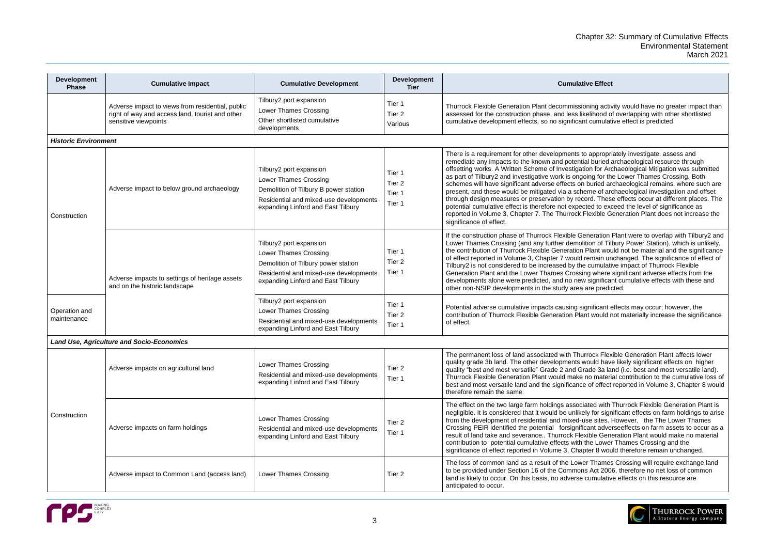ning activity would have no greater impact than elihood of overlapping with other shortlisted cumulative effect is predicted

appropriately investigate, assess and al buried archaeological resource through on for Archaeological Mitigation was submitted ing for the Lower Thames Crossing. Both buried archaeological remains, where such are me of archaeological investigation and offset ord. These effects occur at different places. The ted to exceed the level of significance as lexible Generation Plant does not increase the

neration Plant were to overlap with Tilbury2 and tion of Tilbury Power Station), which is unlikely, Plant would not be material and the significance emain unchanged. The significance of effect of cumulative impact of Thurrock Flexible g where significant adverse effects from the significant cumulative effects with these and are predicted.

inificant effects may occur; however, the it would not materially increase the significance

rock Flexible Generation Plant affects lower ould have likely significant effects on higher ade 3a land (i.e. best and most versatile land). no material contribution to the cumulative loss of of effect reported in Volume 3, Chapter 8 would

ated with Thurrock Flexible Generation Plant is ly for significant effects on farm holdings to arise se sites. However, the The Lower Thames ant adverseeffects on farm assets to occur as a rible Generation Plant would make no material he Lower Thames Crossing and the ter 8 would therefore remain unchanged.

Thames Crossing will require exchange land Act 2006, therefore no net loss of common cumulative effects on this resource are



| <b>Development</b><br><b>Phase</b> | <b>Cumulative Impact</b>                                                                                                    | <b>Cumulative Development</b>                                                                                                                                             | <b>Development</b><br><b>Tier</b>               | <b>Cumulative Effect</b>                                                                                                                                                                                                                                                                                                                                                                                                                                                                                                                                                                            |  |  |
|------------------------------------|-----------------------------------------------------------------------------------------------------------------------------|---------------------------------------------------------------------------------------------------------------------------------------------------------------------------|-------------------------------------------------|-----------------------------------------------------------------------------------------------------------------------------------------------------------------------------------------------------------------------------------------------------------------------------------------------------------------------------------------------------------------------------------------------------------------------------------------------------------------------------------------------------------------------------------------------------------------------------------------------------|--|--|
|                                    | Adverse impact to views from residential, public<br>right of way and access land, tourist and other<br>sensitive viewpoints | Tilbury2 port expansion<br><b>Lower Thames Crossing</b><br>Other shortlisted cumulative<br>developments                                                                   | Tier 1<br>Tier <sub>2</sub><br>Various          | Thurrock Flexible Generation Plant decommissioning activ<br>assessed for the construction phase, and less likelihood o<br>cumulative development effects, so no significant cumulat                                                                                                                                                                                                                                                                                                                                                                                                                 |  |  |
| <b>Historic Environment</b>        |                                                                                                                             |                                                                                                                                                                           |                                                 |                                                                                                                                                                                                                                                                                                                                                                                                                                                                                                                                                                                                     |  |  |
| Construction                       | Adverse impact to below ground archaeology                                                                                  | Tilbury2 port expansion<br>Lower Thames Crossing<br>Demolition of Tilbury B power station<br>Residential and mixed-use developments<br>expanding Linford and East Tilbury | Tier 1<br>Tier <sub>2</sub><br>Tier 1<br>Tier 1 | There is a requirement for other developments to appropri<br>remediate any impacts to the known and potential buried a<br>offsetting works. A Written Scheme of Investigation for Ard<br>as part of Tilbury2 and investigative work is ongoing for th<br>schemes will have significant adverse effects on buried ar<br>present, and these would be mitigated via a scheme of ard<br>through design measures or preservation by record. These<br>potential cumulative effect is therefore not expected to exc<br>reported in Volume 3, Chapter 7. The Thurrock Flexible G<br>significance of effect. |  |  |
|                                    | Adverse impacts to settings of heritage assets<br>and on the historic landscape                                             | Tilbury2 port expansion<br>Lower Thames Crossing<br>Demolition of Tilbury power station<br>Residential and mixed-use developments<br>expanding Linford and East Tilbury   | Tier 1<br>Tier <sub>2</sub><br>Tier 1           | If the construction phase of Thurrock Flexible Generation<br>Lower Thames Crossing (and any further demolition of Till<br>the contribution of Thurrock Flexible Generation Plant wou<br>of effect reported in Volume 3, Chapter 7 would remain un<br>Tilbury2 is not considered to be increased by the cumulati<br>Generation Plant and the Lower Thames Crossing where<br>developments alone were predicted, and no new significal<br>other non-NSIP developments in the study area are predio                                                                                                     |  |  |
| Operation and<br>maintenance       |                                                                                                                             | Tilbury2 port expansion<br><b>Lower Thames Crossing</b><br>Residential and mixed-use developments<br>expanding Linford and East Tilbury                                   | Tier 1<br>Tier <sub>2</sub><br>Tier 1           | Potential adverse cumulative impacts causing significant e<br>contribution of Thurrock Flexible Generation Plant would r<br>of effect.                                                                                                                                                                                                                                                                                                                                                                                                                                                              |  |  |
|                                    | <b>Land Use, Agriculture and Socio-Economics</b>                                                                            |                                                                                                                                                                           |                                                 |                                                                                                                                                                                                                                                                                                                                                                                                                                                                                                                                                                                                     |  |  |
|                                    | Adverse impacts on agricultural land                                                                                        | <b>Lower Thames Crossing</b><br>Residential and mixed-use developments<br>expanding Linford and East Tilbury                                                              | Tier 2<br>Tier 1                                | The permanent loss of land associated with Thurrock Flex<br>quality grade 3b land. The other developments would have<br>quality "best and most versatile" Grade 2 and Grade 3a la<br>Thurrock Flexible Generation Plant would make no materi<br>best and most versatile land and the significance of effect<br>therefore remain the same.                                                                                                                                                                                                                                                           |  |  |
| Construction                       | Adverse impacts on farm holdings                                                                                            | <b>Lower Thames Crossing</b><br>Residential and mixed-use developments<br>expanding Linford and East Tilbury                                                              | Tier <sub>2</sub><br>Tier 1                     | The effect on the two large farm holdings associated with<br>negligible. It is considered that it would be unlikely for sign<br>from the development of residential and mixed-use sites. I<br>Crossing PEIR identified the potential forsignificant adve<br>result of land take and severance Thurrock Flexible Gene<br>contribution to potential cumulative effects with the Lower<br>significance of effect reported in Volume 3, Chapter 8 wou                                                                                                                                                   |  |  |
|                                    | Adverse impact to Common Land (access land)                                                                                 | Lower Thames Crossing                                                                                                                                                     | Tier <sub>2</sub>                               | The loss of common land as a result of the Lower Thames<br>to be provided under Section 16 of the Commons Act 200<br>land is likely to occur. On this basis, no adverse cumulativ<br>anticipated to occur.                                                                                                                                                                                                                                                                                                                                                                                          |  |  |

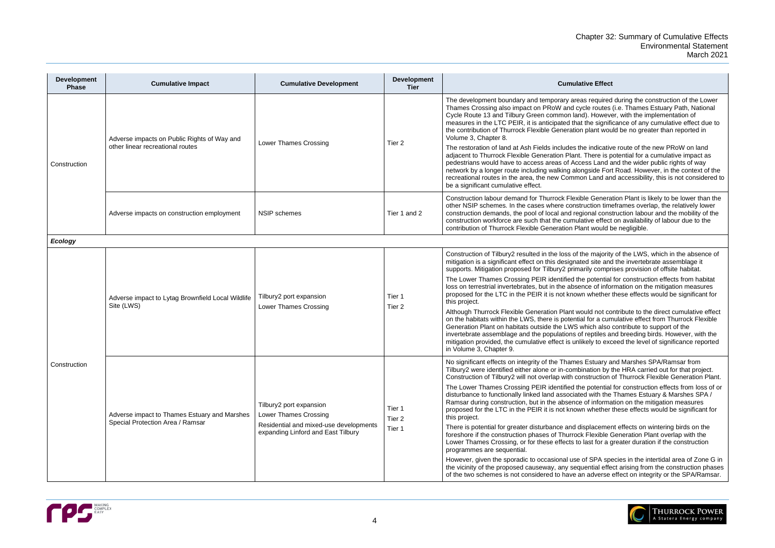Frequired during the construction of the Lower Ie routes (i.e. Thames Estuary Path, National ). However, with the implementation of the significance of any cumulative effect due to blant would be no greater than reported in

indicative route of the new PRoW on land There is potential for a cumulative impact as ss Land and the wider public rights of way gside Fort Road. However, in the context of the Land and accessibility, this is not considered to

e Generation Plant is likely to be lower than the iction timeframes overlap, the relatively lower onal construction labour and the mobility of the ive effect on availability of labour due to the nt would be negligible.

e majority of the LWS, which in the absence of d site and the invertebrate assemblage it ily comprises provision of offsite habitat.

potential for construction effects from habitat ce of information on the mitigation measures whether these effects would be significant for

ald not contribute to the direct cumulative effect for a cumulative effect from Thurrock Flexible hich also contribute to support of the reptiles and breeding birds. However, with the ely to exceed the level of significance reported

Estuary and Marshes SPA/Ramsar from ation by the HRA carried out for that project. struction of Thurrock Flexible Generation Plant.

potential for construction effects from loss of or with the Thames Estuary & Marshes SPA / of information on the mitigation measures whether these effects would be significant for

placement effects on wintering birds on the Flexible Generation Plant overlap with the ast for a greater duration if the construction

SPA species in the intertidal area of Zone G in ential effect arising from the construction phases adverse effect on integrity or the SPA/Ramsar.



| <b>Development</b><br><b>Phase</b> | <b>Cumulative Impact</b>                                                         | <b>Cumulative Development</b>                                                                                                           | <b>Development</b><br><b>Tier</b>     | <b>Cumulative Effect</b>                                                                                                                                                                                                                                                                                                                                                                                                                                                                                                                                                                                                                                                                                                                                                                                                                                                      |
|------------------------------------|----------------------------------------------------------------------------------|-----------------------------------------------------------------------------------------------------------------------------------------|---------------------------------------|-------------------------------------------------------------------------------------------------------------------------------------------------------------------------------------------------------------------------------------------------------------------------------------------------------------------------------------------------------------------------------------------------------------------------------------------------------------------------------------------------------------------------------------------------------------------------------------------------------------------------------------------------------------------------------------------------------------------------------------------------------------------------------------------------------------------------------------------------------------------------------|
| Construction                       | Adverse impacts on Public Rights of Way and<br>other linear recreational routes  | <b>Lower Thames Crossing</b>                                                                                                            | Tier <sub>2</sub>                     | The development boundary and temporary areas required<br>Thames Crossing also impact on PRoW and cycle routes<br>Cycle Route 13 and Tilbury Green common land). Howeve<br>measures in the LTC PEIR, it is anticipated that the signifi<br>the contribution of Thurrock Flexible Generation plant wou<br>Volume 3, Chapter 8.<br>The restoration of land at Ash Fields includes the indicativ<br>adjacent to Thurrock Flexible Generation Plant. There is p<br>pedestrians would have to access areas of Access Land a<br>network by a longer route including walking alongside For<br>recreational routes in the area, the new Common Land an<br>be a significant cumulative effect.                                                                                                                                                                                          |
|                                    | Adverse impacts on construction employment                                       | <b>NSIP</b> schemes                                                                                                                     | Tier 1 and 2                          | Construction labour demand for Thurrock Flexible Genera<br>other NSIP schemes. In the cases where construction time<br>construction demands, the pool of local and regional cons<br>construction workforce are such that the cumulative effect<br>contribution of Thurrock Flexible Generation Plant would b                                                                                                                                                                                                                                                                                                                                                                                                                                                                                                                                                                  |
| <b>Ecology</b>                     |                                                                                  |                                                                                                                                         |                                       |                                                                                                                                                                                                                                                                                                                                                                                                                                                                                                                                                                                                                                                                                                                                                                                                                                                                               |
|                                    | Adverse impact to Lytag Brownfield Local Wildlife<br>Site (LWS)                  | Tilbury2 port expansion<br><b>Lower Thames Crossing</b>                                                                                 | Tier 1<br>Tier <sub>2</sub>           | Construction of Tilbury2 resulted in the loss of the majority<br>mitigation is a significant effect on this designated site and<br>supports. Mitigation proposed for Tilbury2 primarily compr<br>The Lower Thames Crossing PEIR identified the potential<br>loss on terrestrial invertebrates, but in the absence of infor<br>proposed for the LTC in the PEIR it is not known whether<br>this project.<br>Although Thurrock Flexible Generation Plant would not co<br>on the habitats within the LWS, there is potential for a cum<br>Generation Plant on habitats outside the LWS which also<br>invertebrate assemblage and the populations of reptiles a<br>mitigation provided, the cumulative effect is unlikely to exc<br>in Volume 3, Chapter 9.                                                                                                                       |
| Construction                       | Adverse impact to Thames Estuary and Marshes<br>Special Protection Area / Ramsar | Tilbury2 port expansion<br><b>Lower Thames Crossing</b><br>Residential and mixed-use developments<br>expanding Linford and East Tilbury | Tier 1<br>Tier <sub>2</sub><br>Tier 1 | No significant effects on integrity of the Thames Estuary a<br>Tilbury2 were identified either alone or in-combination by t<br>Construction of Tilbury2 will not overlap with construction<br>The Lower Thames Crossing PEIR identified the potential<br>disturbance to functionally linked land associated with the<br>Ramsar during construction, but in the absence of informa<br>proposed for the LTC in the PEIR it is not known whether<br>this project.<br>There is potential for greater disturbance and displacemer<br>foreshore if the construction phases of Thurrock Flexible O<br>Lower Thames Crossing, or for these effects to last for a g<br>programmes are sequential.<br>However, given the sporadic to occasional use of SPA spe<br>the vicinity of the proposed causeway, any sequential effe<br>of the two schemes is not considered to have an adverse |

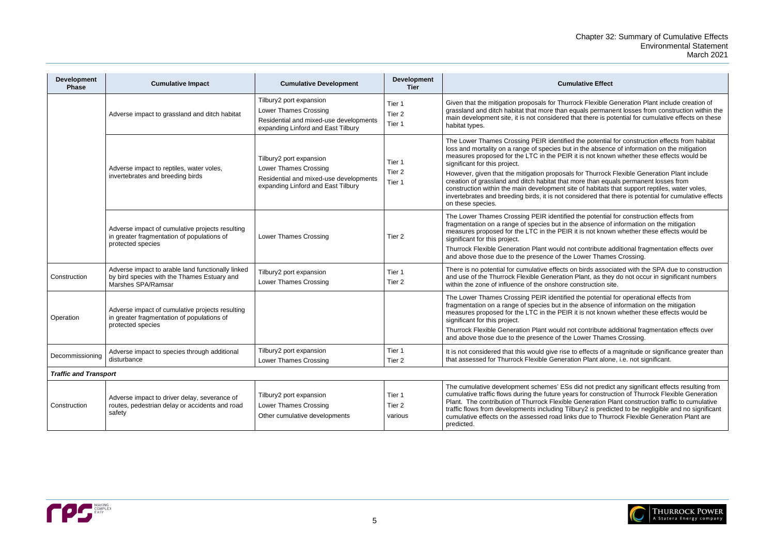Flexible Generation Plant include creation of s permanent losses from construction within the here is potential for cumulative effects on these

Dotential for construction effects from habitat le absence of information on the mitigation not known whether these effects would be

Thurrock Flexible Generation Plant include than equals permanent losses from habitats that support reptiles, water voles, ered that there is potential for cumulative effects

potential for construction effects from bsence of information on the mitigation not known whether these effects would be

ntribute additional fragmentation effects over er Thames Crossing.

rds associated with the SPA due to construction nt, as they do not occur in significant numbers ruction site.

potential for operational effects from bence of information on the mitigation not known whether these effects would be

ntribute additional fragmentation effects over er Thames Crossing.

iects of a magnitude or significance greater than Plant alone, i.e. not significant.

not predict any significant effects resulting from construction of Thurrock Flexible Generation eration Plant construction traffic to cumulative If is predicted to be negligible and no significant le to Thurrock Flexible Generation Plant are



| <b>Development</b><br><b>Phase</b> | <b>Cumulative Impact</b>                                                                                               | <b>Cumulative Development</b>                                                                                                           | <b>Development</b><br><b>Tier</b> | <b>Cumulative Effect</b>                                                                                                                                                                                                                                                                                                                                                                                                                                                                         |
|------------------------------------|------------------------------------------------------------------------------------------------------------------------|-----------------------------------------------------------------------------------------------------------------------------------------|-----------------------------------|--------------------------------------------------------------------------------------------------------------------------------------------------------------------------------------------------------------------------------------------------------------------------------------------------------------------------------------------------------------------------------------------------------------------------------------------------------------------------------------------------|
|                                    | Adverse impact to grassland and ditch habitat                                                                          | Tilbury2 port expansion<br><b>Lower Thames Crossing</b><br>Residential and mixed-use developments<br>expanding Linford and East Tilbury | Tier 1<br>Tier 2<br>Tier 1        | Given that the mitigation proposals for Thurrock Flexible G<br>grassland and ditch habitat that more than equals perman<br>main development site, it is not considered that there is po<br>habitat types.                                                                                                                                                                                                                                                                                        |
|                                    | Adverse impact to reptiles, water voles,<br>invertebrates and breeding birds                                           | Tilbury2 port expansion<br>Lower Thames Crossing<br>Residential and mixed-use developments<br>expanding Linford and East Tilbury        | Tier 1<br>Tier 2<br>Tier 1        | The Lower Thames Crossing PEIR identified the potential<br>loss and mortality on a range of species but in the absenc<br>measures proposed for the LTC in the PEIR it is not know<br>significant for this project.<br>However, given that the mitigation proposals for Thurrock<br>creation of grassland and ditch habitat that more than equ<br>construction within the main development site of habitats t<br>invertebrates and breeding birds, it is not considered that<br>on these species. |
|                                    | Adverse impact of cumulative projects resulting<br>in greater fragmentation of populations of<br>protected species     | Lower Thames Crossing                                                                                                                   | Tier 2                            | The Lower Thames Crossing PEIR identified the potential<br>fragmentation on a range of species but in the absence of<br>measures proposed for the LTC in the PEIR it is not know<br>significant for this project.<br>Thurrock Flexible Generation Plant would not contribute a<br>and above those due to the presence of the Lower Thame                                                                                                                                                         |
| Construction                       | Adverse impact to arable land functionally linked<br>by bird species with the Thames Estuary and<br>Marshes SPA/Ramsar | Tilbury2 port expansion<br>Lower Thames Crossing                                                                                        | Tier 1<br>Tier <sub>2</sub>       | There is no potential for cumulative effects on birds assoc<br>and use of the Thurrock Flexible Generation Plant, as the<br>within the zone of influence of the onshore construction sit                                                                                                                                                                                                                                                                                                         |
| Operation                          | Adverse impact of cumulative projects resulting<br>in greater fragmentation of populations of<br>protected species     |                                                                                                                                         |                                   | The Lower Thames Crossing PEIR identified the potential<br>fragmentation on a range of species but in the absence of<br>measures proposed for the LTC in the PEIR it is not know<br>significant for this project.<br>Thurrock Flexible Generation Plant would not contribute a<br>and above those due to the presence of the Lower Thame                                                                                                                                                         |
| Decommissioning                    | Adverse impact to species through additional<br>disturbance                                                            | Tilbury2 port expansion<br><b>Lower Thames Crossing</b>                                                                                 | Tier 1<br>Tier <sub>2</sub>       | It is not considered that this would give rise to effects of a<br>that assessed for Thurrock Flexible Generation Plant alon                                                                                                                                                                                                                                                                                                                                                                      |
| <b>Traffic and Transport</b>       |                                                                                                                        |                                                                                                                                         |                                   |                                                                                                                                                                                                                                                                                                                                                                                                                                                                                                  |
| Construction                       | Adverse impact to driver delay, severance of<br>routes, pedestrian delay or accidents and road<br>safety               | Tilbury2 port expansion<br>Lower Thames Crossing<br>Other cumulative developments                                                       | Tier 1<br>Tier 2<br>various       | The cumulative development schemes' ESs did not predic<br>cumulative traffic flows during the future years for construc<br>Plant. The contribution of Thurrock Flexible Generation P<br>traffic flows from developments including Tilbury2 is predio<br>cumulative effects on the assessed road links due to Thur<br>predicted.                                                                                                                                                                  |

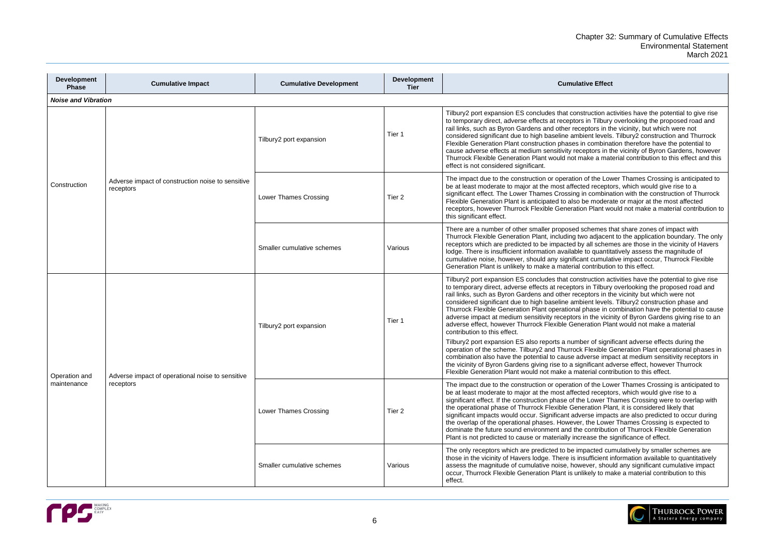| ve Effect |
|-----------|
|           |

ruction activities have the potential to give rise in Tilbury overlooking the proposed road and ptors in the vicinity, but which were not ent levels. Tilbury2 construction and Thurrock combination therefore have the potential to ptors in the vicinity of Byron Gardens, however .<br>ike a material contribution to this effect and this

of the Lower Thames Crossing is anticipated to d receptors, which would give rise to a i combination with the construction of Thurrock e moderate or major at the most affected Plant would not make a material contribution to

chemes that share zones of impact with the adjacent to the application boundary. The only all schemes are those in the vicinity of Havers to quantitatively assess the magnitude of it cumulative impact occur, Thurrock Flexible ontribution to this effect.

ruction activities have the potential to give rise in Tilbury overlooking the proposed road and ptors in the vicinity but which were not ent levels. Tilbury2 construction phase and hase in combination have the potential to cause n the vicinity of Byron Gardens giving rise to an ration Plant would not make a material

er of significant adverse effects during the Flexible Generation Plant operational phases in erse impact at medium sensitivity receptors in ificant adverse effect, however Thurrock erial contribution to this effect.

of the Lower Thames Crossing is anticipated to d receptors, which would give rise to a Lower Thames Crossing were to overlap with ration Plant, it is considered likely that rse impacts are also predicted to occur during the Lower Thames Crossing is expected to contribution of Thurrock Flexible Generation ase the significance of effect.

acted cumulatively by smaller schemes are ufficient information available to quantitatively ver, should any significant cumulative impact kely to make a material contribution to this



| <b>Development</b><br><b>Phase</b> | <b>Cumulative Impact</b>                                       | <b>Cumulative Development</b> | <b>Development</b><br><b>Tier</b> | <b>Cumulative Effect</b>                                                                                                                                                                                                                                                                                                                                                                                                                                                                                      |
|------------------------------------|----------------------------------------------------------------|-------------------------------|-----------------------------------|---------------------------------------------------------------------------------------------------------------------------------------------------------------------------------------------------------------------------------------------------------------------------------------------------------------------------------------------------------------------------------------------------------------------------------------------------------------------------------------------------------------|
| <b>Noise and Vibration</b>         |                                                                |                               |                                   |                                                                                                                                                                                                                                                                                                                                                                                                                                                                                                               |
|                                    |                                                                | Tilbury2 port expansion       | Tier 1                            | Tilbury2 port expansion ES concludes that construction ad<br>to temporary direct, adverse effects at receptors in Tilbury<br>rail links, such as Byron Gardens and other receptors in th<br>considered significant due to high baseline ambient levels<br>Flexible Generation Plant construction phases in combina<br>cause adverse effects at medium sensitivity receptors in th<br>Thurrock Flexible Generation Plant would not make a mat<br>effect is not considered significant.                         |
| Construction                       | Adverse impact of construction noise to sensitive<br>receptors | Lower Thames Crossing         | Tier 2                            | The impact due to the construction or operation of the Lov<br>be at least moderate to major at the most affected recepto<br>significant effect. The Lower Thames Crossing in combina<br>Flexible Generation Plant is anticipated to also be modera<br>receptors, however Thurrock Flexible Generation Plant wo<br>this significant effect.                                                                                                                                                                    |
|                                    |                                                                | Smaller cumulative schemes    | Various                           | There are a number of other smaller proposed schemes th<br>Thurrock Flexible Generation Plant, including two adjacen<br>receptors which are predicted to be impacted by all schem<br>lodge. There is insufficient information available to quantita<br>cumulative noise, however, should any significant cumulat<br>Generation Plant is unlikely to make a material contributio                                                                                                                               |
|                                    |                                                                | Tilbury2 port expansion       | Tier 1                            | Tilbury2 port expansion ES concludes that construction ac<br>to temporary direct, adverse effects at receptors in Tilbury<br>rail links, such as Byron Gardens and other receptors in th<br>considered significant due to high baseline ambient levels<br>Thurrock Flexible Generation Plant operational phase in c<br>adverse impact at medium sensitivity receptors in the vicir<br>adverse effect, however Thurrock Flexible Generation Pla<br>contribution to this effect.                                |
| Operation and                      | Adverse impact of operational noise to sensitive<br>receptors  |                               |                                   | Tilbury2 port expansion ES also reports a number of signi<br>operation of the scheme. Tilbury2 and Thurrock Flexible G<br>combination also have the potential to cause adverse imp.<br>the vicinity of Byron Gardens giving rise to a significant ad<br>Flexible Generation Plant would not make a material contr                                                                                                                                                                                             |
| maintenance                        |                                                                | <b>Lower Thames Crossing</b>  | Tier <sub>2</sub>                 | The impact due to the construction or operation of the Lov<br>be at least moderate to major at the most affected recepto<br>significant effect. If the construction phase of the Lower Th<br>the operational phase of Thurrock Flexible Generation Pla<br>significant impacts would occur. Significant adverse impac<br>the overlap of the operational phases. However, the Lowe<br>dominate the future sound environment and the contributio<br>Plant is not predicted to cause or materially increase the s |
|                                    |                                                                | Smaller cumulative schemes    | Various                           | The only receptors which are predicted to be impacted cui<br>those in the vicinity of Havers lodge. There is insufficient in<br>assess the magnitude of cumulative noise, however, shou<br>occur, Thurrock Flexible Generation Plant is unlikely to ma<br>effect.                                                                                                                                                                                                                                             |

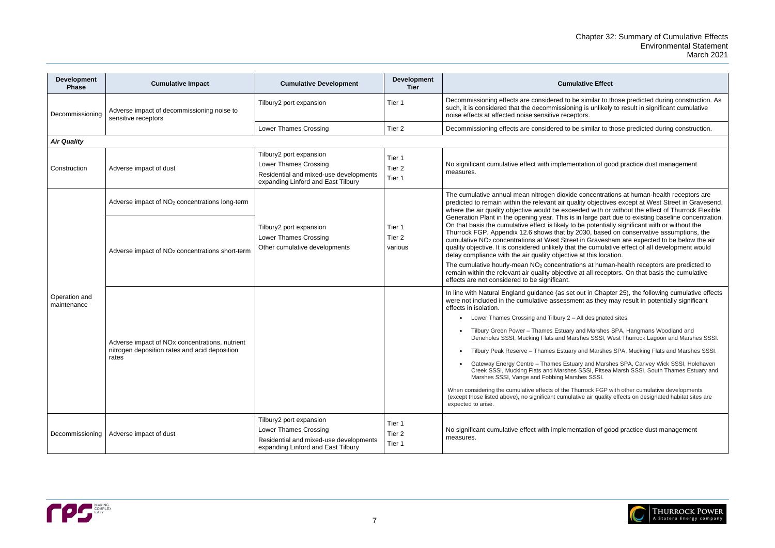imilar to those predicted during construction. As is unlikely to result in significant cumulative

imilar to those predicted during construction.

### tion of good practice dust management

oncentrations at human-health receptors are objectives except at West Street in Gravesend, ed with or without the effect of Thurrock Flexible arge part due to existing baseline concentration. potentially significant with or without the  $\overline{30}$ , based on conservative assumptions, the Gravesham are expected to be below the air extemulative effect of all development would this location.

s at human-health receptors are predicted to all receptors. On that basis the cumulative

I in Chapter 25), the following cumulative effects as they may result in potentially significant

designated sites.

**I Marshes SPA, Hangmans Woodland and** es SSSI, West Thurrock Lagoon and Marshes SSSI.

ed Marshes SPA, Mucking Flats and Marshes SSSI.

and Marshes SPA, Canvey Wick SSSI, Holehaven SSI, Pitsea Marsh SSSI, South Thames Estuary and SSSSI.

ock FGP with other cumulative developments air quality effects on designated habitat sites are

### tion of good practice dust management



| <b>Development</b><br><b>Phase</b> | <b>Cumulative Impact</b>                                                                                             | <b>Cumulative Development</b>                                                                                                    | <b>Development</b><br><b>Tier</b>      | <b>Cumulative Effect</b>                                                                                                                                                                                                                                                                                                                                                                                                                                                                                                                                                                                                                                                                                                                          |
|------------------------------------|----------------------------------------------------------------------------------------------------------------------|----------------------------------------------------------------------------------------------------------------------------------|----------------------------------------|---------------------------------------------------------------------------------------------------------------------------------------------------------------------------------------------------------------------------------------------------------------------------------------------------------------------------------------------------------------------------------------------------------------------------------------------------------------------------------------------------------------------------------------------------------------------------------------------------------------------------------------------------------------------------------------------------------------------------------------------------|
| Decommissioning                    | Adverse impact of decommissioning noise to<br>sensitive receptors                                                    | Tilbury2 port expansion                                                                                                          | Tier 1                                 | Decommissioning effects are considered to be similar to th<br>such, it is considered that the decommissioning is unlikely<br>noise effects at affected noise sensitive receptors.                                                                                                                                                                                                                                                                                                                                                                                                                                                                                                                                                                 |
|                                    |                                                                                                                      | Lower Thames Crossing                                                                                                            | Tier <sub>2</sub>                      | Decommissioning effects are considered to be similar to th                                                                                                                                                                                                                                                                                                                                                                                                                                                                                                                                                                                                                                                                                        |
| <b>Air Quality</b>                 |                                                                                                                      |                                                                                                                                  |                                        |                                                                                                                                                                                                                                                                                                                                                                                                                                                                                                                                                                                                                                                                                                                                                   |
| Construction                       | Adverse impact of dust                                                                                               | Tilbury2 port expansion<br>Lower Thames Crossing<br>Residential and mixed-use developments<br>expanding Linford and East Tilbury | Tier 1<br>Tier <sub>2</sub><br>Tier 1  | No significant cumulative effect with implementation of good<br>measures.                                                                                                                                                                                                                                                                                                                                                                                                                                                                                                                                                                                                                                                                         |
|                                    | Adverse impact of NO <sub>2</sub> concentrations long-term                                                           |                                                                                                                                  |                                        | The cumulative annual mean nitrogen dioxide concentration<br>predicted to remain within the relevant air quality objective<br>where the air quality objective would be exceeded with or                                                                                                                                                                                                                                                                                                                                                                                                                                                                                                                                                           |
|                                    | Adverse impact of NO <sub>2</sub> concentrations short-term                                                          | Tilbury2 port expansion<br>Lower Thames Crossing<br>Other cumulative developments                                                | Tier 1<br>Tier <sub>2</sub><br>various | Generation Plant in the opening year. This is in large part<br>On that basis the cumulative effect is likely to be potential<br>Thurrock FGP. Appendix 12.6 shows that by 2030, based<br>cumulative NO <sub>2</sub> concentrations at West Street in Gravesha<br>quality objective. It is considered unlikely that the cumulati<br>delay compliance with the air quality objective at this locat<br>The cumulative hourly-mean NO <sub>2</sub> concentrations at humar<br>remain within the relevant air quality objective at all recept                                                                                                                                                                                                          |
| Operation and<br>maintenance       | Adverse impact of NO <sub>x</sub> concentrations, nutrient<br>nitrogen deposition rates and acid deposition<br>rates |                                                                                                                                  |                                        | effects are not considered to be significant.<br>In line with Natural England guidance (as set out in Chapte<br>were not included in the cumulative assessment as they m<br>effects in isolation.<br>Lower Thames Crossing and Tilbury 2 - All designated<br>Tilbury Green Power - Thames Estuary and Marshes &<br>Deneholes SSSI, Mucking Flats and Marshes SSSI, W<br>Tilbury Peak Reserve - Thames Estuary and Marshes<br>Gateway Energy Centre - Thames Estuary and Marsh<br>Creek SSSI, Mucking Flats and Marshes SSSI, Pitsea<br>Marshes SSSI, Vange and Fobbing Marshes SSSI.<br>When considering the cumulative effects of the Thurrock FGP w<br>(except those listed above), no significant cumulative air quality<br>expected to arise. |
| Decommissioning                    | Adverse impact of dust                                                                                               | Tilbury2 port expansion<br>Lower Thames Crossing<br>Residential and mixed-use developments<br>expanding Linford and East Tilbury | Tier 1<br>Tier 2<br>Tier 1             | No significant cumulative effect with implementation of good<br>measures.                                                                                                                                                                                                                                                                                                                                                                                                                                                                                                                                                                                                                                                                         |

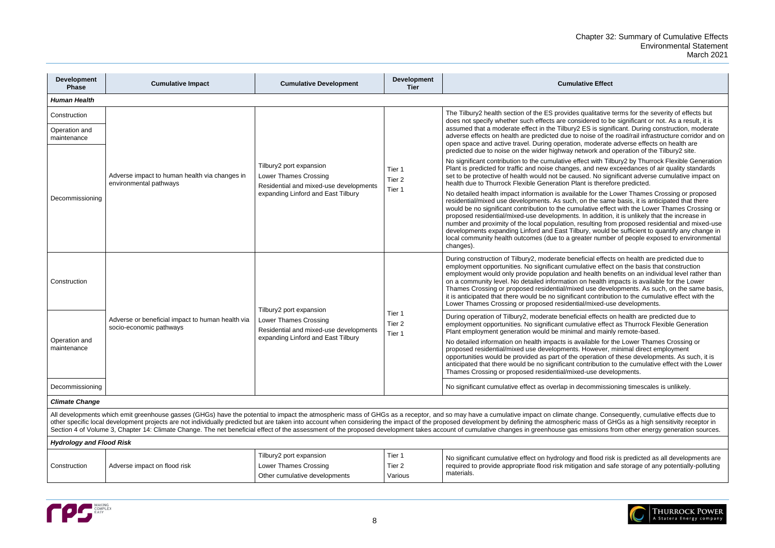alitative terms for the severity of effects but ered to be significant or not. As a result, it is is significant. During construction, moderate ise of the road/rail infrastructure corridor and on noderate adverse effects on health are ork and operation of the Tilbury2 site.

t with Tilbury2 by Thurrock Flexible Generation nd new exceedances of air quality standards . No significant adverse cumulative impact on is therefore predicted.

for the Lower Thames Crossing or proposed the same basis, it is anticipated that there tive effect with the Lower Thames Crossing or addition, it is unlikely that the increase in alting from proposed residential and mixed-use would be sufficient to quantify any change in er number of people exposed to environmental

ial effects on health are predicted due to ive effect on the basis that construction ealth benefits on an individual level rather than health impacts is available for the Lower ise developments. As such, on the same basis, contribution to the cumulative effect with the mixed-use developments.

effects on health are predicted due to ive effect as Thurrock Flexible Generation nd mainly remote-based.

able for the Lower Thames Crossing or pwever, minimal direct employment eration of these developments. As such, it is ribution to the cumulative effect with the Lower Ise developments.

ommissioning timescales is unlikely.

de. Consequently, cumulative effects due to impact of GHGs as a receptor, and so mass as a cumulative and so m ass of GHGs as a high sensitivity receptor in issions from other energy generation sources.

flood risk is predicted as all developments are in and safe storage of any potentially-polluting



| <b>Development</b><br><b>Phase</b> | <b>Cumulative Impact</b>                                                    | <b>Cumulative Development</b>                                                                     | <b>Development</b><br><b>Tier</b>      | <b>Cumulative Effect</b>                                                                                                                                                                                                                                                                                                                                                                                                                                                                                                                                                                      |
|------------------------------------|-----------------------------------------------------------------------------|---------------------------------------------------------------------------------------------------|----------------------------------------|-----------------------------------------------------------------------------------------------------------------------------------------------------------------------------------------------------------------------------------------------------------------------------------------------------------------------------------------------------------------------------------------------------------------------------------------------------------------------------------------------------------------------------------------------------------------------------------------------|
| <b>Human Health</b>                |                                                                             |                                                                                                   |                                        |                                                                                                                                                                                                                                                                                                                                                                                                                                                                                                                                                                                               |
| Construction                       |                                                                             |                                                                                                   |                                        | The Tilbury2 health section of the ES provides qualitative<br>does not specify whether such effects are considered to b                                                                                                                                                                                                                                                                                                                                                                                                                                                                       |
| Operation and<br>maintenance       |                                                                             |                                                                                                   |                                        | assumed that a moderate effect in the Tilbury2 ES is signi<br>adverse effects on health are predicted due to noise of the<br>open space and active travel. During operation, moderate<br>predicted due to noise on the wider highway network and                                                                                                                                                                                                                                                                                                                                              |
|                                    | Adverse impact to human health via changes in<br>environmental pathways     | Tilbury2 port expansion<br><b>Lower Thames Crossing</b><br>Residential and mixed-use developments | Tier 1<br>Tier <sub>2</sub>            | No significant contribution to the cumulative effect with Till<br>Plant is predicted for traffic and noise changes, and new e<br>set to be protective of health would not be caused. No sign<br>health due to Thurrock Flexible Generation Plant is therefore                                                                                                                                                                                                                                                                                                                                 |
| Decommissioning                    |                                                                             | expanding Linford and East Tilbury                                                                | Tier 1                                 | No detailed health impact information is available for the L<br>residential/mixed use developments. As such, on the sam<br>would be no significant contribution to the cumulative effect<br>proposed residential/mixed-use developments. In addition<br>number and proximity of the local population, resulting from<br>developments expanding Linford and East Tilbury, would I<br>local community health outcomes (due to a greater numbe<br>changes).                                                                                                                                      |
| Construction                       |                                                                             |                                                                                                   |                                        | During construction of Tilbury2, moderate beneficial effect<br>employment opportunities. No significant cumulative effec<br>employment would only provide population and health ber<br>on a community level. No detailed information on health in<br>Thames Crossing or proposed residential/mixed use deve<br>it is anticipated that there would be no significant contribut<br>Lower Thames Crossing or proposed residential/mixed-us                                                                                                                                                       |
|                                    | Adverse or beneficial impact to human health via<br>socio-economic pathways | Tilbury2 port expansion<br><b>Lower Thames Crossing</b><br>Residential and mixed-use developments | Tier 1<br>Tier <sub>2</sub><br>Tier 1  | During operation of Tilbury2, moderate beneficial effects o<br>employment opportunities. No significant cumulative effec<br>Plant employment generation would be minimal and mainl                                                                                                                                                                                                                                                                                                                                                                                                            |
| Operation and<br>maintenance       |                                                                             | expanding Linford and East Tilbury                                                                |                                        | No detailed information on health impacts is available for t<br>proposed residential/mixed use developments. However, i<br>opportunities would be provided as part of the operation o<br>anticipated that there would be no significant contribution<br>Thames Crossing or proposed residential/mixed-use deve                                                                                                                                                                                                                                                                                |
| Decommissioning                    |                                                                             |                                                                                                   |                                        | No significant cumulative effect as overlap in decommission                                                                                                                                                                                                                                                                                                                                                                                                                                                                                                                                   |
| <b>Climate Change</b>              |                                                                             |                                                                                                   |                                        |                                                                                                                                                                                                                                                                                                                                                                                                                                                                                                                                                                                               |
|                                    |                                                                             |                                                                                                   |                                        | All developments which emit greenhouse gasses (GHGs) have the potential to impact the atmospheric mass of GHGs as a receptor, and so may have a cumulative impact on climate change. Con<br>other specific local development projects are not individually predicted but are taken into account when considering the impact of the proposed development by defining the atmospheric mass of G<br>Section 4 of Volume 3, Chapter 14: Climate Change. The net beneficial effect of the assessment of the proposed development takes account of cumulative changes in greenhouse gas emissions f |
| <b>Hydrology and Flood Risk</b>    |                                                                             |                                                                                                   |                                        |                                                                                                                                                                                                                                                                                                                                                                                                                                                                                                                                                                                               |
| Construction                       | Adverse impact on flood risk                                                | Tilbury2 port expansion<br>Lower Thames Crossing<br>Other cumulative developments                 | Tier 1<br>Tier <sub>2</sub><br>Various | No significant cumulative effect on hydrology and flood ris<br>required to provide appropriate flood risk mitigation and sa<br>materials.                                                                                                                                                                                                                                                                                                                                                                                                                                                     |

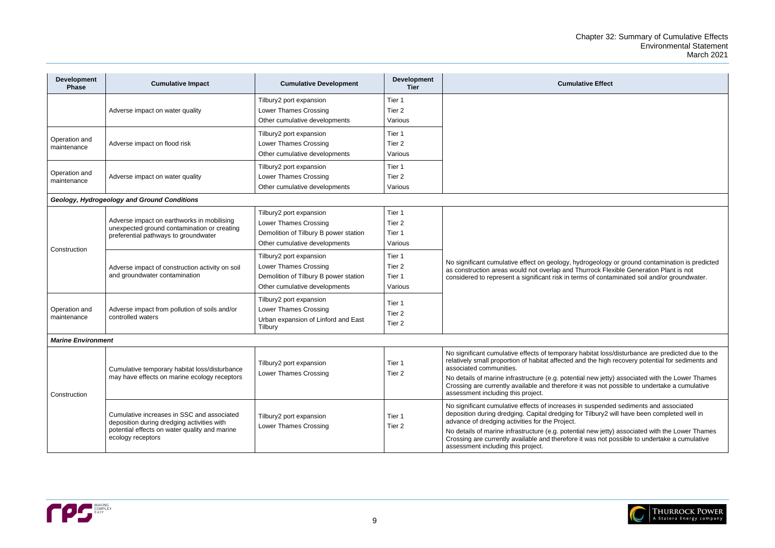| <b>itive Effect</b>                                                                                                                        |
|--------------------------------------------------------------------------------------------------------------------------------------------|
|                                                                                                                                            |
|                                                                                                                                            |
| drogeology or ground contamination is predicted<br>nurrock Flexible Generation Plant is not<br>ms of contaminated soil and/or groundwater. |
|                                                                                                                                            |
| nabitat loss/disturbance are predicted due to the<br>nd the high recovery potential for sediments and                                      |
| al new jetty) associated with the Lower Thames<br>it was not possible to undertake a cumulative                                            |
| n suspended sediments and associated<br>r Tilbury2 will have been completed well in                                                        |
| al new jetty) associated with the Lower Thames<br>it was not possible to undertake a cumulative                                            |
|                                                                                                                                            |



| <b>Development</b><br><b>Phase</b>          | <b>Cumulative Impact</b>                                                                                                                                       | <b>Cumulative Development</b>                    | <b>Development</b><br><b>Tier</b> | <b>Cumulative Effect</b>                                                                                                                                                                |  |  |  |  |
|---------------------------------------------|----------------------------------------------------------------------------------------------------------------------------------------------------------------|--------------------------------------------------|-----------------------------------|-----------------------------------------------------------------------------------------------------------------------------------------------------------------------------------------|--|--|--|--|
|                                             | Adverse impact on water quality                                                                                                                                | Tilbury2 port expansion                          | Tier 1                            |                                                                                                                                                                                         |  |  |  |  |
|                                             |                                                                                                                                                                | Lower Thames Crossing                            | Tier <sub>2</sub>                 |                                                                                                                                                                                         |  |  |  |  |
|                                             |                                                                                                                                                                | Other cumulative developments                    | Various                           |                                                                                                                                                                                         |  |  |  |  |
| Operation and<br>maintenance                | Adverse impact on flood risk                                                                                                                                   | Tilbury2 port expansion                          | Tier 1                            |                                                                                                                                                                                         |  |  |  |  |
|                                             |                                                                                                                                                                | Lower Thames Crossing                            | Tier <sub>2</sub>                 |                                                                                                                                                                                         |  |  |  |  |
|                                             |                                                                                                                                                                | Other cumulative developments                    | Various                           |                                                                                                                                                                                         |  |  |  |  |
|                                             | Adverse impact on water quality                                                                                                                                | Tilbury2 port expansion                          | Tier 1                            |                                                                                                                                                                                         |  |  |  |  |
| Operation and<br>maintenance                |                                                                                                                                                                | Lower Thames Crossing                            | Tier <sub>2</sub>                 |                                                                                                                                                                                         |  |  |  |  |
|                                             |                                                                                                                                                                | Other cumulative developments                    | Various                           |                                                                                                                                                                                         |  |  |  |  |
| Geology, Hydrogeology and Ground Conditions |                                                                                                                                                                |                                                  |                                   |                                                                                                                                                                                         |  |  |  |  |
| Construction                                | Adverse impact on earthworks in mobilising<br>unexpected ground contamination or creating<br>preferential pathways to groundwater                              | Tilbury2 port expansion                          | Tier 1                            |                                                                                                                                                                                         |  |  |  |  |
|                                             |                                                                                                                                                                | Lower Thames Crossing                            | Tier <sub>2</sub>                 |                                                                                                                                                                                         |  |  |  |  |
|                                             |                                                                                                                                                                | Demolition of Tilbury B power station            | Tier 1                            |                                                                                                                                                                                         |  |  |  |  |
|                                             |                                                                                                                                                                | Other cumulative developments                    | Various                           |                                                                                                                                                                                         |  |  |  |  |
|                                             | Adverse impact of construction activity on soil<br>and groundwater contamination                                                                               | Tilbury2 port expansion                          | Tier 1                            |                                                                                                                                                                                         |  |  |  |  |
|                                             |                                                                                                                                                                | Lower Thames Crossing                            | Tier <sub>2</sub>                 | No significant cumulative effect on geology, hydrogeology or ground contamination is predicted<br>as construction areas would not overlap and Thurrock Flexible Generation Plant is not |  |  |  |  |
|                                             |                                                                                                                                                                | Demolition of Tilbury B power station            | Tier 1                            | considered to represent a significant risk in terms of contaminated soil and/or groundwater.                                                                                            |  |  |  |  |
|                                             |                                                                                                                                                                | Other cumulative developments                    | Various                           |                                                                                                                                                                                         |  |  |  |  |
|                                             | Adverse impact from pollution of soils and/or<br>controlled waters                                                                                             | Tilbury2 port expansion                          | Tier 1                            |                                                                                                                                                                                         |  |  |  |  |
| Operation and<br>maintenance                |                                                                                                                                                                | Lower Thames Crossing                            | Tier <sub>2</sub>                 |                                                                                                                                                                                         |  |  |  |  |
|                                             |                                                                                                                                                                | Urban expansion of Linford and East              | Tier <sub>2</sub>                 |                                                                                                                                                                                         |  |  |  |  |
|                                             |                                                                                                                                                                | Tilbury                                          |                                   |                                                                                                                                                                                         |  |  |  |  |
| <b>Marine Environment</b>                   |                                                                                                                                                                |                                                  |                                   |                                                                                                                                                                                         |  |  |  |  |
| Construction                                | Cumulative temporary habitat loss/disturbance<br>may have effects on marine ecology receptors                                                                  | Tilbury2 port expansion<br>Lower Thames Crossing |                                   | No significant cumulative effects of temporary habitat loss/disturbance are predicted due to the                                                                                        |  |  |  |  |
|                                             |                                                                                                                                                                |                                                  | Tier 1<br>Tier 2                  | relatively small proportion of habitat affected and the high recovery potential for sediments and<br>associated communities.                                                            |  |  |  |  |
|                                             |                                                                                                                                                                |                                                  |                                   | No details of marine infrastructure (e.g. potential new jetty) associated with the Lower Thames                                                                                         |  |  |  |  |
|                                             |                                                                                                                                                                |                                                  |                                   | Crossing are currently available and therefore it was not possible to undertake a cumulative                                                                                            |  |  |  |  |
|                                             |                                                                                                                                                                |                                                  |                                   | assessment including this project.                                                                                                                                                      |  |  |  |  |
|                                             | Cumulative increases in SSC and associated<br>deposition during dredging activities with<br>potential effects on water quality and marine<br>ecology receptors | Tilbury2 port expansion<br>Lower Thames Crossing |                                   | No significant cumulative effects of increases in suspended sediments and associated                                                                                                    |  |  |  |  |
|                                             |                                                                                                                                                                |                                                  | Tier 1<br>Tier 2                  | deposition during dredging. Capital dredging for Tilbury2 will have been completed well in<br>advance of dredging activities for the Project.                                           |  |  |  |  |
|                                             |                                                                                                                                                                |                                                  |                                   | No details of marine infrastructure (e.g. potential new jetty) associated with the Lower Thames                                                                                         |  |  |  |  |
|                                             |                                                                                                                                                                |                                                  |                                   | Crossing are currently available and therefore it was not possible to undertake a cumulative                                                                                            |  |  |  |  |
|                                             |                                                                                                                                                                |                                                  |                                   | assessment including this project.                                                                                                                                                      |  |  |  |  |